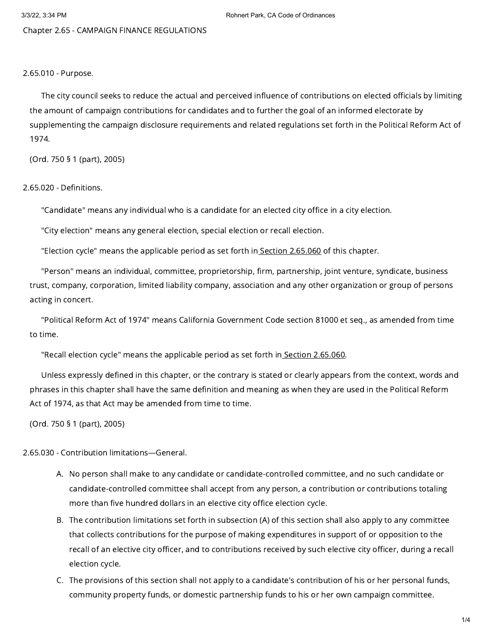Chapter 2.65 - CAMPAIGN FINANCE REGULATIONS

## 2.65.010 - Purpose.

The city council seeks to reduce the actual and perceived influence of contributions on elected officials by limiting the amount of campaign contributions for candidates and to further the goal of an informed electorate by supplementing the campaign disclosure requirements and related regulations set forth in the Political Reform Act of 1974.

(Ord. 750 § 1 (part), 2005)

## 2.65.020 - Definitions.

"Candidate" means any individual who is a candidate for an elected city office in a city election.

"City election" means any general election, special election or recall election.

"Election cycle" means the applicable period as set forth in Section [2.65.060](https://library.municode.com/) of this chapter.

"Person" means an individual, committee, proprietorship, firm, partnership, joint venture, syndicate, business trust, company, corporation, limited liability company, association and any other organization or group of persons acting in concert.

"Political Reform Act of 1974" means California Government Code section 81000 et seq., as amended from time to time.

"Recall election cycle" means the applicable period as set forth in Section [2.65.060.](https://library.municode.com/)

Unless expressly defined in this chapter, or the contrary is stated or clearly appears from the context, words and phrases in this chapter shall have the same definition and meaning as when they are used in the Political Reform Act of 1974, as that Act may be amended from time to time.

(Ord. 750 § 1 (part), 2005)

2.65.030 - Contribution limitations—General.

- A. No person shall make to any candidate or candidate-controlled committee, and no such candidate or candidate-controlled committee shall accept from any person, a contribution or contributions totaling more than five hundred dollars in an elective city office election cycle.
- B. The contribution limitations set forth in subsection (A) of this section shall also apply to any committee that collects contributions for the purpose of making expenditures in support of or opposition to the recall of an elective city officer, and to contributions received by such elective city officer, during a recall election cycle.
- C. The provisions of this section shall not apply to a candidate's contribution of his or her personal funds, community property funds, or domestic partnership funds to his or her own campaign committee.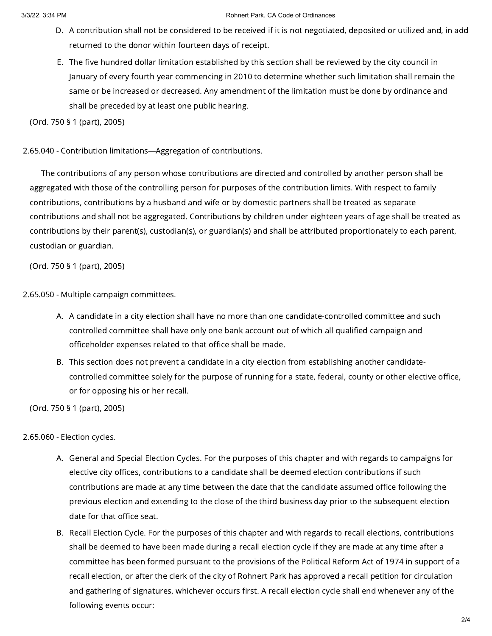## 3/3/22, 3:34 PM Rohnert Park, CA Code of Ordinances

- D. A contribution shall not be considered to be received if it is not negotiated, deposited or utilized and, in add returned to the donor within fourteen days of receipt.
- E. The five hundred dollar limitation established by this section shall be reviewed by the city council in January of every fourth year commencing in 2010 to determine whether such limitation shall remain the same or be increased or decreased. Any amendment of the limitation must be done by ordinance and shall be preceded by at least one public hearing.

(Ord. 750 § 1 (part), 2005)

2.65.040 - Contribution limitations—Aggregation of contributions.

The contributions of any person whose contributions are directed and controlled by another person shall be aggregated with those of the controlling person for purposes of the contribution limits. With respect to family contributions, contributions by a husband and wife or by domestic partners shall be treated as separate contributions and shall not be aggregated. Contributions by children under eighteen years of age shall be treated as contributions by their parent(s), custodian(s), or guardian(s) and shall be attributed proportionately to each parent, custodian or guardian.

(Ord. 750 § 1 (part), 2005)

2.65.050 - Multiple campaign committees.

- A. A candidate in a city election shall have no more than one candidate-controlled committee and such controlled committee shall have only one bank account out of which all qualified campaign and officeholder expenses related to that office shall be made.
- B. This section does not prevent a candidate in a city election from establishing another candidatecontrolled committee solely for the purpose of running for a state, federal, county or other elective office, or for opposing his or her recall.

(Ord. 750 § 1 (part), 2005)

2.65.060 - Election cycles.

- A. General and Special Election Cycles. For the purposes of this chapter and with regards to campaigns for elective city offices, contributions to a candidate shall be deemed election contributions if such contributions are made at any time between the date that the candidate assumed office following the previous election and extending to the close of the third business day prior to the subsequent election date for that office seat.
- B. Recall Election Cycle. For the purposes of this chapter and with regards to recall elections, contributions shall be deemed to have been made during a recall election cycle if they are made at any time after a committee has been formed pursuant to the provisions of the Political Reform Act of 1974 in support of a recall election, or after the clerk of the city of Rohnert Park has approved a recall petition for circulation and gathering of signatures, whichever occurs first. A recall election cycle shall end whenever any of the following events occur: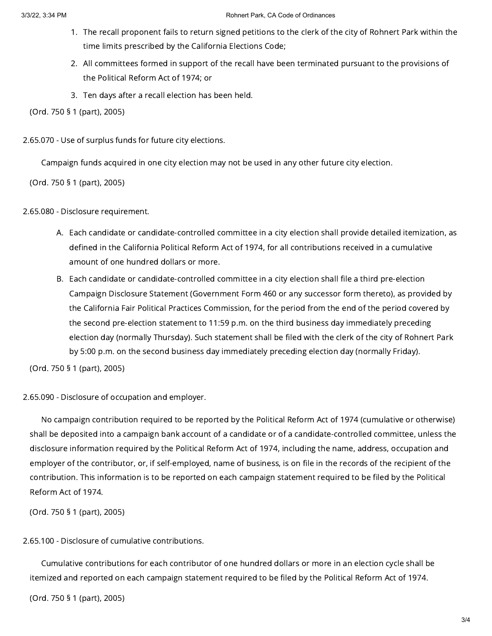- 1. The recall proponent fails to return signed petitions to the clerk of the city of Rohnert Park within the time limits prescribed by the California Elections Code;
- 2. All committees formed in support of the recall have been terminated pursuant to the provisions of the Political Reform Act of 1974; or
- 3. Ten days after a recall election has been held.

(Ord. 750 § 1 (part), 2005)

2.65.070 - Use of surplus funds for future city elections.

Campaign funds acquired in one city election may not be used in any other future city election.

(Ord. 750 § 1 (part), 2005)

## 2.65.080 - Disclosure requirement.

- A. Each candidate or candidate-controlled committee in a city election shall provide detailed itemization, as defined in the California Political Reform Act of 1974, for all contributions received in a cumulative amount of one hundred dollars or more.
- B. Each candidate or candidate-controlled committee in a city election shall file a third pre-election Campaign Disclosure Statement (Government Form 460 or any successor form thereto), as provided by the California Fair Political Practices Commission, for the period from the end of the period covered by the second pre-election statement to 11:59 p.m. on the third business day immediately preceding election day (normally Thursday). Such statement shall be filed with the clerk of the city of Rohnert Park by 5:00 p.m. on the second business day immediately preceding election day (normally Friday).

(Ord. 750 § 1 (part), 2005)

2.65.090 - Disclosure of occupation and employer.

No campaign contribution required to be reported by the Political Reform Act of 1974 (cumulative or otherwise) shall be deposited into a campaign bank account of a candidate or of a candidate-controlled committee, unless the disclosure information required by the Political Reform Act of 1974, including the name, address, occupation and employer of the contributor, or, if self-employed, name of business, is on file in the records of the recipient of the contribution. This information is to be reported on each campaign statement required to be filed by the Political Reform Act of 1974.

(Ord. 750 § 1 (part), 2005)

2.65.100 - Disclosure of cumulative contributions.

Cumulative contributions for each contributor of one hundred dollars or more in an election cycle shall be itemized and reported on each campaign statement required to be filed by the Political Reform Act of 1974.

(Ord. 750 § 1 (part), 2005)